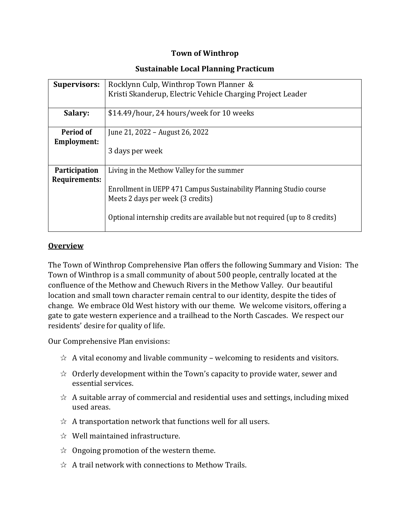### **Town of Winthrop**

#### **Sustainable Local Planning Practicum**

| <b>Supervisors:</b>                          | Rocklynn Culp, Winthrop Town Planner &<br>Kristi Skanderup, Electric Vehicle Charging Project Leader                                                                                                                                   |
|----------------------------------------------|----------------------------------------------------------------------------------------------------------------------------------------------------------------------------------------------------------------------------------------|
| Salary:                                      | \$14.49/hour, 24 hours/week for 10 weeks                                                                                                                                                                                               |
| Period of<br><b>Employment:</b>              | June 21, 2022 – August 26, 2022<br>3 days per week                                                                                                                                                                                     |
| <b>Participation</b><br><b>Requirements:</b> | Living in the Methow Valley for the summer<br>Enrollment in UEPP 471 Campus Sustainability Planning Studio course<br>Meets 2 days per week (3 credits)<br>Optional internship credits are available but not required (up to 8 credits) |

## **Overview**

The Town of Winthrop Comprehensive Plan offers the following Summary and Vision: The Town of Winthrop is a small community of about 500 people, centrally located at the confluence of the Methow and Chewuch Rivers in the Methow Valley. Our beautiful location and small town character remain central to our identity, despite the tides of change. We embrace Old West history with our theme. We welcome visitors, offering a gate to gate western experience and a trailhead to the North Cascades. We respect our residents' desire for quality of life.

Our Comprehensive Plan envisions:

- $\hat{\varphi}$  A vital economy and livable community welcoming to residents and visitors.
- $\hat{\varphi}$  Orderly development within the Town's capacity to provide water, sewer and essential services.
- $\hat{\varphi}$  A suitable array of commercial and residential uses and settings, including mixed used areas.
- $\hat{\varphi}$  A transportation network that functions well for all users.
- $\&$  Well maintained infrastructure.
- $\hat{\varphi}$  Ongoing promotion of the western theme.
- $\hat{\mathcal{A}}$  A trail network with connections to Methow Trails.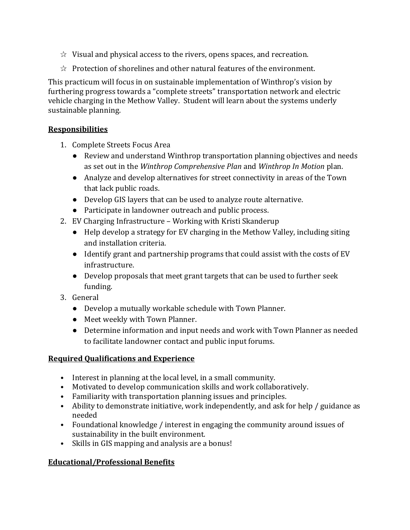- $\hat{\varphi}$  Visual and physical access to the rivers, opens spaces, and recreation.
- $\hat{\varphi}$  Protection of shorelines and other natural features of the environment.

This practicum will focus in on sustainable implementation of Winthrop's vision by furthering progress towards a "complete streets" transportation network and electric vehicle charging in the Methow Valley. Student will learn about the systems underly sustainable planning.

## **Responsibilities**

- 1. Complete Streets Focus Area
	- Review and understand Winthrop transportation planning objectives and needs as set out in the *Winthrop Comprehensive Plan* and *Winthrop In Motion* plan.
	- Analyze and develop alternatives for street connectivity in areas of the Town that lack public roads.
	- Develop GIS layers that can be used to analyze route alternative.
	- Participate in landowner outreach and public process.
- 2. EV Charging Infrastructure Working with Kristi Skanderup
	- Help develop a strategy for EV charging in the Methow Valley, including siting and installation criteria.
	- Identify grant and partnership programs that could assist with the costs of EV infrastructure.
	- Develop proposals that meet grant targets that can be used to further seek funding.
- 3. General
	- Develop a mutually workable schedule with Town Planner.
	- Meet weekly with Town Planner.
	- Determine information and input needs and work with Town Planner as needed to facilitate landowner contact and public input forums.

#### **Required Qualifications and Experience**

- Interest in planning at the local level, in a small community.
- Motivated to develop communication skills and work collaboratively.
- Familiarity with transportation planning issues and principles.
- Ability to demonstrate initiative, work independently, and ask for help / guidance as needed
- Foundational knowledge / interest in engaging the community around issues of sustainability in the built environment.
- Skills in GIS mapping and analysis are a bonus!

# **Educational/Professional Benefits**